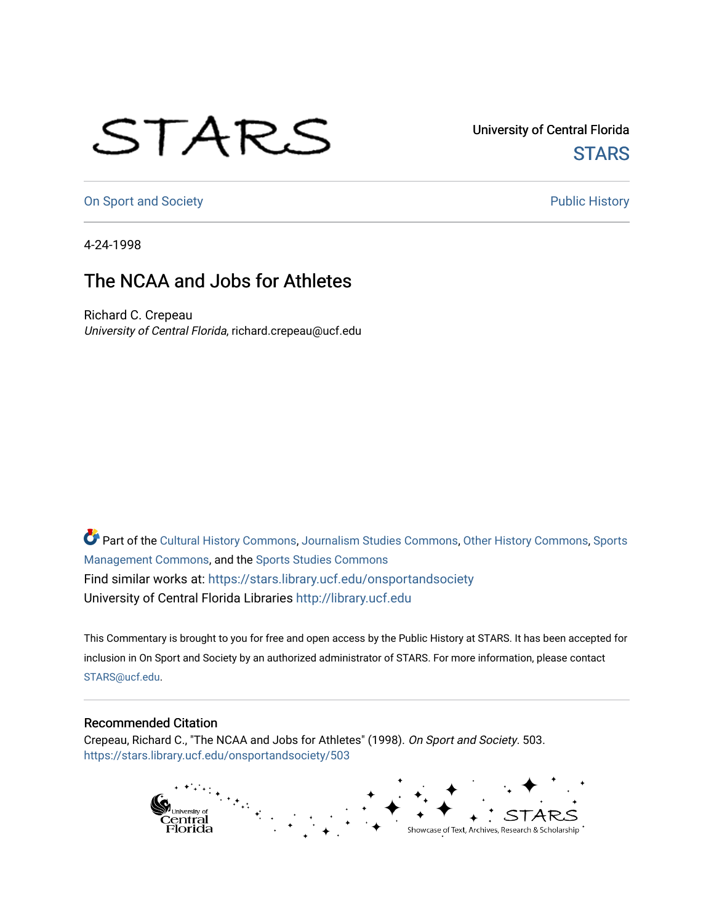## STARS

University of Central Florida **STARS** 

[On Sport and Society](https://stars.library.ucf.edu/onsportandsociety) **Public History** Public History

4-24-1998

## The NCAA and Jobs for Athletes

Richard C. Crepeau University of Central Florida, richard.crepeau@ucf.edu

Part of the [Cultural History Commons](http://network.bepress.com/hgg/discipline/496?utm_source=stars.library.ucf.edu%2Fonsportandsociety%2F503&utm_medium=PDF&utm_campaign=PDFCoverPages), [Journalism Studies Commons,](http://network.bepress.com/hgg/discipline/333?utm_source=stars.library.ucf.edu%2Fonsportandsociety%2F503&utm_medium=PDF&utm_campaign=PDFCoverPages) [Other History Commons,](http://network.bepress.com/hgg/discipline/508?utm_source=stars.library.ucf.edu%2Fonsportandsociety%2F503&utm_medium=PDF&utm_campaign=PDFCoverPages) [Sports](http://network.bepress.com/hgg/discipline/1193?utm_source=stars.library.ucf.edu%2Fonsportandsociety%2F503&utm_medium=PDF&utm_campaign=PDFCoverPages) [Management Commons](http://network.bepress.com/hgg/discipline/1193?utm_source=stars.library.ucf.edu%2Fonsportandsociety%2F503&utm_medium=PDF&utm_campaign=PDFCoverPages), and the [Sports Studies Commons](http://network.bepress.com/hgg/discipline/1198?utm_source=stars.library.ucf.edu%2Fonsportandsociety%2F503&utm_medium=PDF&utm_campaign=PDFCoverPages) Find similar works at: <https://stars.library.ucf.edu/onsportandsociety> University of Central Florida Libraries [http://library.ucf.edu](http://library.ucf.edu/) 

This Commentary is brought to you for free and open access by the Public History at STARS. It has been accepted for inclusion in On Sport and Society by an authorized administrator of STARS. For more information, please contact [STARS@ucf.edu](mailto:STARS@ucf.edu).

## Recommended Citation

Crepeau, Richard C., "The NCAA and Jobs for Athletes" (1998). On Sport and Society. 503. [https://stars.library.ucf.edu/onsportandsociety/503](https://stars.library.ucf.edu/onsportandsociety/503?utm_source=stars.library.ucf.edu%2Fonsportandsociety%2F503&utm_medium=PDF&utm_campaign=PDFCoverPages)

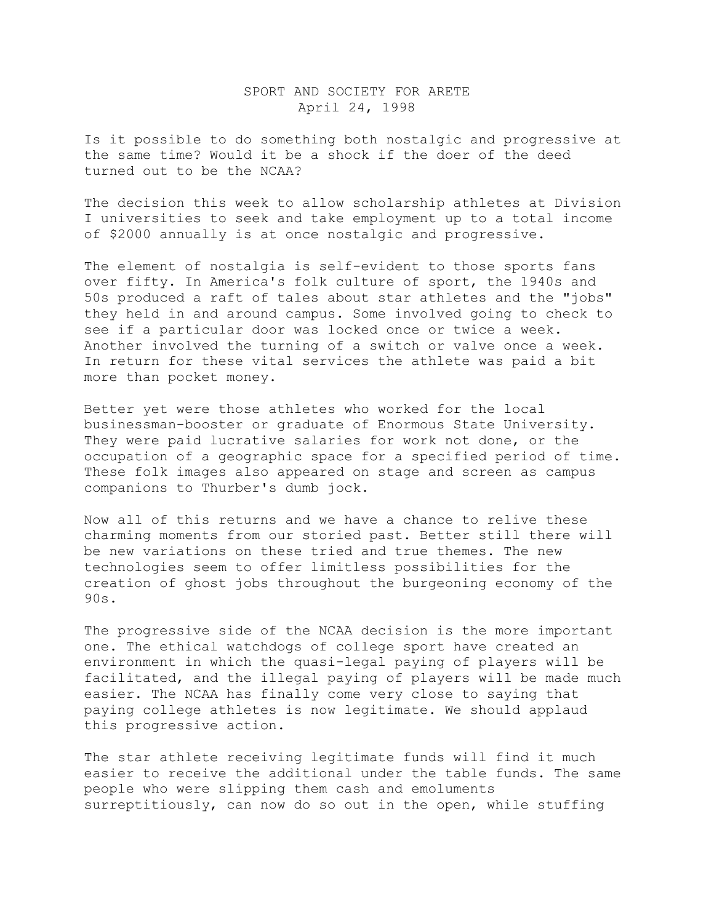## SPORT AND SOCIETY FOR ARETE April 24, 1998

Is it possible to do something both nostalgic and progressive at the same time? Would it be a shock if the doer of the deed turned out to be the NCAA?

The decision this week to allow scholarship athletes at Division I universities to seek and take employment up to a total income of \$2000 annually is at once nostalgic and progressive.

The element of nostalgia is self-evident to those sports fans over fifty. In America's folk culture of sport, the 1940s and 50s produced a raft of tales about star athletes and the "jobs" they held in and around campus. Some involved going to check to see if a particular door was locked once or twice a week. Another involved the turning of a switch or valve once a week. In return for these vital services the athlete was paid a bit more than pocket money.

Better yet were those athletes who worked for the local businessman-booster or graduate of Enormous State University. They were paid lucrative salaries for work not done, or the occupation of a geographic space for a specified period of time. These folk images also appeared on stage and screen as campus companions to Thurber's dumb jock.

Now all of this returns and we have a chance to relive these charming moments from our storied past. Better still there will be new variations on these tried and true themes. The new technologies seem to offer limitless possibilities for the creation of ghost jobs throughout the burgeoning economy of the 90s.

The progressive side of the NCAA decision is the more important one. The ethical watchdogs of college sport have created an environment in which the quasi-legal paying of players will be facilitated, and the illegal paying of players will be made much easier. The NCAA has finally come very close to saying that paying college athletes is now legitimate. We should applaud this progressive action.

The star athlete receiving legitimate funds will find it much easier to receive the additional under the table funds. The same people who were slipping them cash and emoluments surreptitiously, can now do so out in the open, while stuffing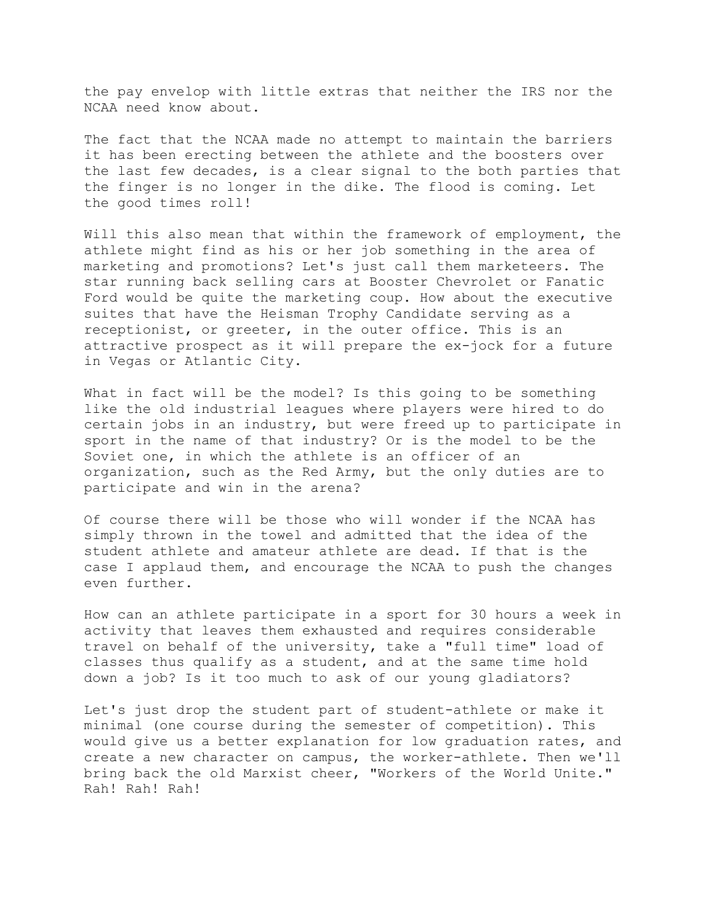the pay envelop with little extras that neither the IRS nor the NCAA need know about.

The fact that the NCAA made no attempt to maintain the barriers it has been erecting between the athlete and the boosters over the last few decades, is a clear signal to the both parties that the finger is no longer in the dike. The flood is coming. Let the good times roll!

Will this also mean that within the framework of employment, the athlete might find as his or her job something in the area of marketing and promotions? Let's just call them marketeers. The star running back selling cars at Booster Chevrolet or Fanatic Ford would be quite the marketing coup. How about the executive suites that have the Heisman Trophy Candidate serving as a receptionist, or greeter, in the outer office. This is an attractive prospect as it will prepare the ex-jock for a future in Vegas or Atlantic City.

What in fact will be the model? Is this going to be something like the old industrial leagues where players were hired to do certain jobs in an industry, but were freed up to participate in sport in the name of that industry? Or is the model to be the Soviet one, in which the athlete is an officer of an organization, such as the Red Army, but the only duties are to participate and win in the arena?

Of course there will be those who will wonder if the NCAA has simply thrown in the towel and admitted that the idea of the student athlete and amateur athlete are dead. If that is the case I applaud them, and encourage the NCAA to push the changes even further.

How can an athlete participate in a sport for 30 hours a week in activity that leaves them exhausted and requires considerable travel on behalf of the university, take a "full time" load of classes thus qualify as a student, and at the same time hold down a job? Is it too much to ask of our young gladiators?

Let's just drop the student part of student-athlete or make it minimal (one course during the semester of competition). This would give us a better explanation for low graduation rates, and create a new character on campus, the worker-athlete. Then we'll bring back the old Marxist cheer, "Workers of the World Unite." Rah! Rah! Rah!